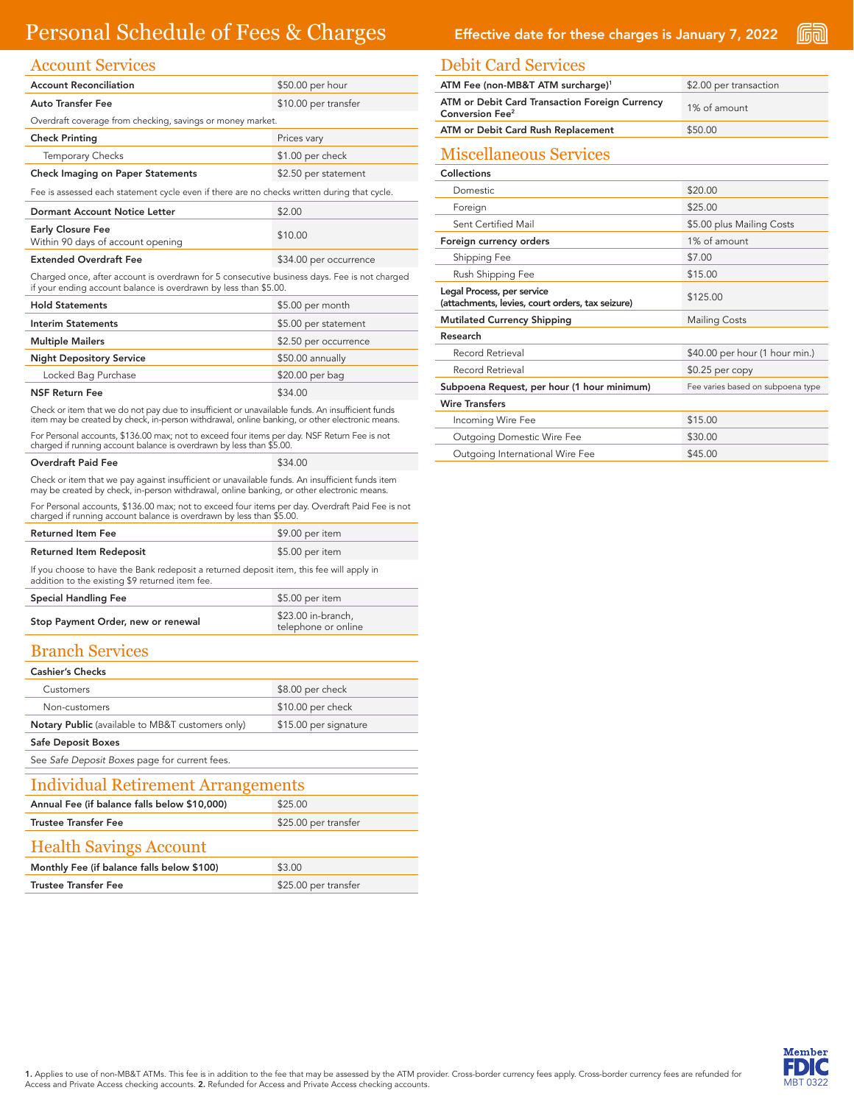# Personal Schedule of Fees & Charges Effective date for these charges is January 7, 2022

| <b>Account Services</b>                                                                                                                                          |                        |  |
|------------------------------------------------------------------------------------------------------------------------------------------------------------------|------------------------|--|
| <b>Account Reconciliation</b>                                                                                                                                    | \$50.00 per hour       |  |
| <b>Auto Transfer Fee</b>                                                                                                                                         | \$10.00 per transfer   |  |
| Overdraft coverage from checking, savings or money market.                                                                                                       |                        |  |
| <b>Check Printing</b>                                                                                                                                            | Prices vary            |  |
| <b>Temporary Checks</b>                                                                                                                                          | \$1.00 per check       |  |
| <b>Check Imaging on Paper Statements</b>                                                                                                                         | \$2.50 per statement   |  |
| Fee is assessed each statement cycle even if there are no checks written during that cycle.                                                                      |                        |  |
| Dormant Account Notice Letter                                                                                                                                    | \$2.00                 |  |
| <b>Early Closure Fee</b><br>Within 90 days of account opening                                                                                                    | \$10.00                |  |
| <b>Extended Overdraft Fee</b>                                                                                                                                    | \$34.00 per occurrence |  |
| Charged once, after account is overdrawn for 5 consecutive business days. Fee is not charged<br>if your ending account balance is overdrawn by less than \$5.00. |                        |  |
| <b>Hold Statements</b>                                                                                                                                           | \$5.00 per month       |  |
|                                                                                                                                                                  |                        |  |
| <b>Interim Statements</b>                                                                                                                                        | \$5.00 per statement   |  |

**Multiple Mailers S2.50** per occurrence Night Depository Service **\$50.00 annually** Locked Bag Purchase \$20.00 per bag NSF Return Fee \$34.00

Check or item that we do not pay due to insufficient or unavailable funds. An insufficient funds item may be created by check, in-person withdrawal, online banking, or other electronic means.

For Personal accounts, \$136.00 max; not to exceed four items per day. NSF Return Fee is not charged if running account balance is overdrawn by less than \$5.00.

| Overdraft Paid Fee | \$34.00 |
|--------------------|---------|
|                    |         |

Check or item that we pay against insufficient or unavailable funds. An insufficient funds item may be created by check, in-person withdrawal, online banking, or other electronic means.

For Personal accounts, \$136.00 max; not to exceed four items per day. Overdraft Paid Fee is not charged if running account balance is overdrawn by less than \$5.00.

| <b>Returned Item Fee</b>                                                                                                                    | \$9.00 per item |
|---------------------------------------------------------------------------------------------------------------------------------------------|-----------------|
| <b>Returned Item Redeposit</b>                                                                                                              | \$5.00 per item |
| If you choose to have the Bank redeposit a returned deposit item, this fee will apply in<br>addition to the existing \$9 returned item fee. |                 |

| <b>Special Handling Fee</b>        | \$5.00 per item                           |
|------------------------------------|-------------------------------------------|
| Stop Payment Order, new or renewal | \$23.00 in-branch.<br>telephone or online |

#### Branch Services

| <b>Cashier's Checks</b>                          |                       |  |
|--------------------------------------------------|-----------------------|--|
| Customers                                        | \$8.00 per check      |  |
| Non-customers                                    | \$10.00 per check     |  |
| Notary Public (available to MB&T customers only) | \$15.00 per signature |  |
| <b>Safe Deposit Boxes</b>                        |                       |  |
| See Safe Deposit Boxes page for current fees.    |                       |  |
| Individual Retirement Arrangements               |                       |  |
| Annual Fee (if balance falls below \$10,000)     | \$25.00               |  |
| <b>Trustee Transfer Fee</b>                      | \$25.00 per transfer  |  |
| <b>Health Savings Account</b>                    |                       |  |
| Monthly Fee (if balance falls below \$100)       | \$3.00                |  |
| <b>Trustee Transfer Fee</b>                      | \$25.00 per transfer  |  |

(Cian)

#### Debit Card Services

| DEMI CARL DELVICES                                                             |                                   |
|--------------------------------------------------------------------------------|-----------------------------------|
| ATM Fee (non-MB&T ATM surcharge) <sup>1</sup>                                  | \$2.00 per transaction            |
| ATM or Debit Card Transaction Foreign Currency<br>Conversion Fee <sup>2</sup>  | 1% of amount                      |
| ATM or Debit Card Rush Replacement                                             | \$50.00                           |
| <b>Miscellaneous Services</b>                                                  |                                   |
| Collections                                                                    |                                   |
| <b>Domestic</b>                                                                | \$20.00                           |
| Foreign                                                                        | \$25.00                           |
| Sent Certified Mail                                                            | \$5.00 plus Mailing Costs         |
| Foreign currency orders                                                        | 1% of amount                      |
| Shipping Fee                                                                   | \$7.00                            |
| Rush Shipping Fee                                                              | \$15.00                           |
| Legal Process, per service<br>(attachments, levies, court orders, tax seizure) | \$125.00                          |
| <b>Mutilated Currency Shipping</b>                                             | <b>Mailing Costs</b>              |
| Research                                                                       |                                   |
| Record Retrieval                                                               | \$40.00 per hour (1 hour min.)    |
| Record Retrieval                                                               | $$0.25$ per copy                  |
| Subpoena Request, per hour (1 hour minimum)                                    | Fee varies based on subpoena type |
| <b>Wire Transfers</b>                                                          |                                   |
| Incoming Wire Fee                                                              | \$15.00                           |
| <b>Outgoing Domestic Wire Fee</b>                                              | \$30.00                           |
| Outgoing International Wire Fee                                                | \$45.00                           |

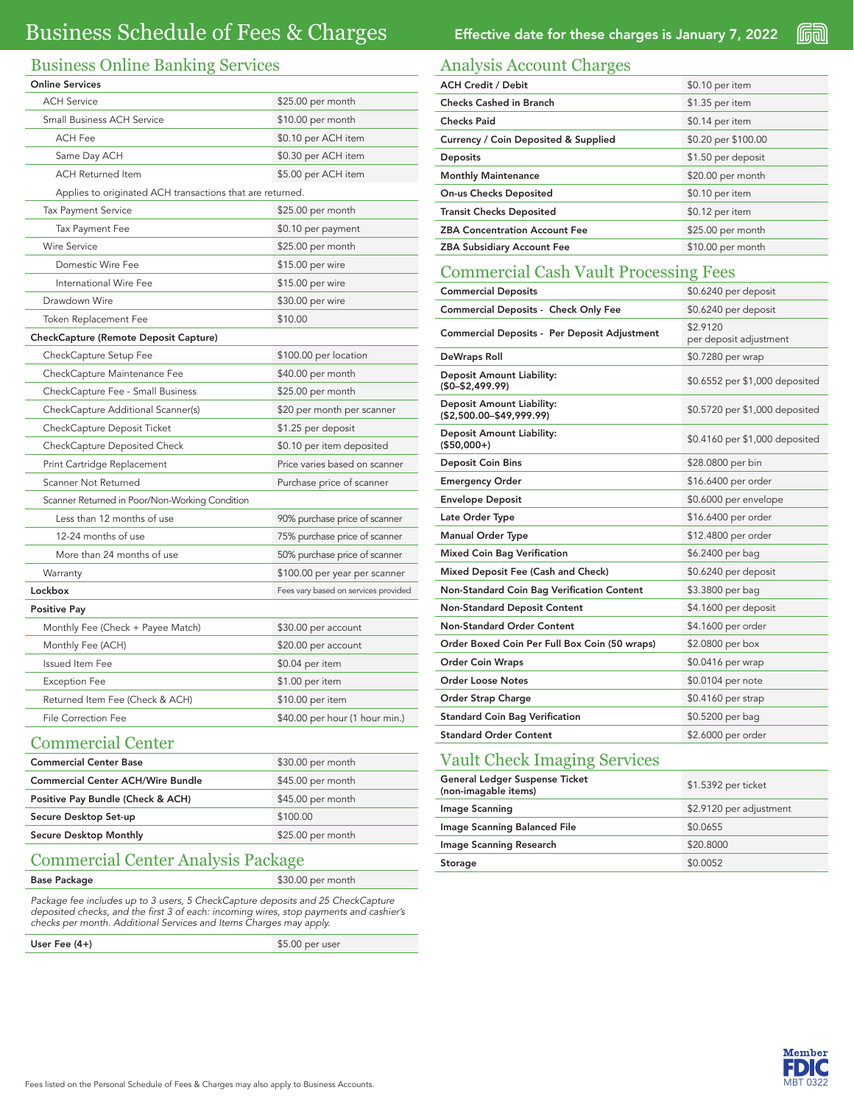## Business Online Banking Services

| <b>Online Services</b>                                    |                                      |  |
|-----------------------------------------------------------|--------------------------------------|--|
| <b>ACH Service</b>                                        | \$25.00 per month                    |  |
| <b>Small Business ACH Service</b>                         | \$10.00 per month                    |  |
| <b>ACH Fee</b>                                            | \$0.10 per ACH item                  |  |
| Same Day ACH                                              | \$0.30 per ACH item                  |  |
| <b>ACH Returned Item</b>                                  | \$5.00 per ACH item                  |  |
| Applies to originated ACH transactions that are returned. |                                      |  |
| <b>Tax Payment Service</b>                                | \$25.00 per month                    |  |
| Tax Payment Fee                                           | \$0.10 per payment                   |  |
| <b>Wire Service</b>                                       | \$25.00 per month                    |  |
| Domestic Wire Fee                                         | \$15.00 per wire                     |  |
| International Wire Fee                                    | \$15.00 per wire                     |  |
| Drawdown Wire                                             | \$30.00 per wire                     |  |
| Token Replacement Fee                                     | \$10.00                              |  |
| CheckCapture (Remote Deposit Capture)                     |                                      |  |
| CheckCapture Setup Fee                                    | \$100.00 per location                |  |
| CheckCapture Maintenance Fee                              | \$40.00 per month                    |  |
| CheckCapture Fee - Small Business                         | \$25.00 per month                    |  |
| CheckCapture Additional Scanner(s)                        | \$20 per month per scanner           |  |
| CheckCapture Deposit Ticket                               | \$1.25 per deposit                   |  |
| CheckCapture Deposited Check                              | \$0.10 per item deposited            |  |
| Print Cartridge Replacement                               | Price varies based on scanner        |  |
| Scanner Not Returned                                      | Purchase price of scanner            |  |
| Scanner Returned in Poor/Non-Working Condition            |                                      |  |
| Less than 12 months of use                                | 90% purchase price of scanner        |  |
| 12-24 months of use                                       | 75% purchase price of scanner        |  |
| More than 24 months of use                                | 50% purchase price of scanner        |  |
| Warranty                                                  | \$100.00 per year per scanner        |  |
| Lockbox                                                   | Fees vary based on services provided |  |
| <b>Positive Pay</b>                                       |                                      |  |
| Monthly Fee (Check + Payee Match)                         | \$30.00 per account                  |  |
| Monthly Fee (ACH)                                         | \$20.00 per account                  |  |
| Issued Item Fee                                           | \$0.04 per item                      |  |
| <b>Exception Fee</b>                                      | \$1.00 per item                      |  |
| Returned Item Fee (Check & ACH)                           | \$10.00 per item                     |  |
| <b>File Correction Fee</b>                                | \$40.00 per hour (1 hour min.)       |  |
|                                                           |                                      |  |

## Commercial Center

| <b>Commercial Center Base</b>            | \$30.00 per month |
|------------------------------------------|-------------------|
| <b>Commercial Center ACH/Wire Bundle</b> | \$45.00 per month |
| Positive Pay Bundle (Check & ACH)        | \$45.00 per month |
| Secure Desktop Set-up                    | \$100.00          |
| <b>Secure Desktop Monthly</b>            | \$25.00 per month |
|                                          |                   |

### Commercial Center Analysis Package

| <b>Base Package</b> | \$30.00 per month |
|---------------------|-------------------|
|                     |                   |

Package fee includes up to 3 users, 5 CheckCapture deposits and 25 CheckCapture deposited checks, and the first 3 of each: incoming wires, stop payments and cashier's checks per month. Additional Services and Items Charges may apply.

User Fee (4+) \$5.00 per user

Effective date for these charges is January 7, 2022

Ga

### Analysis Account Charges

| <b>ACH Credit / Debit</b>            | \$0.10 per item     |
|--------------------------------------|---------------------|
| <b>Checks Cashed in Branch</b>       | \$1.35 per item     |
| <b>Checks Paid</b>                   | \$0.14 per item     |
| Currency / Coin Deposited & Supplied | \$0.20 per \$100.00 |
| <b>Deposits</b>                      | \$1.50 per deposit  |
| <b>Monthly Maintenance</b>           | \$20.00 per month   |
| <b>On-us Checks Deposited</b>        | \$0.10 per item     |
| <b>Transit Checks Deposited</b>      | \$0.12 per item     |
| <b>ZBA Concentration Account Fee</b> | \$25.00 per month   |
| <b>ZBA Subsidiary Account Fee</b>    | \$10.00 per month   |

#### Commercial Cash Vault Processing Fees

| <b>Commercial Deposits</b>                                     | \$0.6240 per deposit               |
|----------------------------------------------------------------|------------------------------------|
| Commercial Deposits - Check Only Fee                           | \$0.6240 per deposit               |
| Commercial Deposits - Per Deposit Adjustment                   | \$2,9120<br>per deposit adjustment |
| DeWraps Roll                                                   | \$0.7280 per wrap                  |
| <b>Deposit Amount Liability:</b><br>$($0-$2,499.99)$           | \$0.6552 per \$1,000 deposited     |
| <b>Deposit Amount Liability:</b><br>$($2,500.00 - $49,999.99)$ | \$0.5720 per \$1,000 deposited     |
| <b>Deposit Amount Liability:</b><br>$( $50,000+ )$             | \$0.4160 per \$1,000 deposited     |
| <b>Deposit Coin Bins</b>                                       | \$28.0800 per bin                  |
| <b>Emergency Order</b>                                         | \$16.6400 per order                |
| <b>Envelope Deposit</b>                                        | \$0.6000 per envelope              |
| Late Order Type                                                | \$16.6400 per order                |
| <b>Manual Order Type</b>                                       | \$12.4800 per order                |
| <b>Mixed Coin Bag Verification</b>                             | \$6.2400 per bag                   |
| Mixed Deposit Fee (Cash and Check)                             | \$0.6240 per deposit               |
| Non-Standard Coin Bag Verification Content                     | \$3.3800 per bag                   |
| <b>Non-Standard Deposit Content</b>                            | \$4.1600 per deposit               |
| Non-Standard Order Content                                     | \$4.1600 per order                 |
| Order Boxed Coin Per Full Box Coin (50 wraps)                  | \$2.0800 per box                   |
| <b>Order Coin Wraps</b>                                        | \$0.0416 per wrap                  |
| <b>Order Loose Notes</b>                                       | \$0.0104 per note                  |
| Order Strap Charge                                             | \$0.4160 per strap                 |
| <b>Standard Coin Bag Verification</b>                          | \$0.5200 per bag                   |
| <b>Standard Order Content</b>                                  | \$2.6000 per order                 |

## Vault Check Imaging Services

| General Ledger Suspense Ticket<br>(non-imagable items) | \$1.5392 per ticket     |
|--------------------------------------------------------|-------------------------|
| Image Scanning                                         | \$2.9120 per adjustment |
| Image Scanning Balanced File                           | \$0.0655                |
| Image Scanning Research                                | \$20,8000               |
| Storage                                                | \$0.0052                |

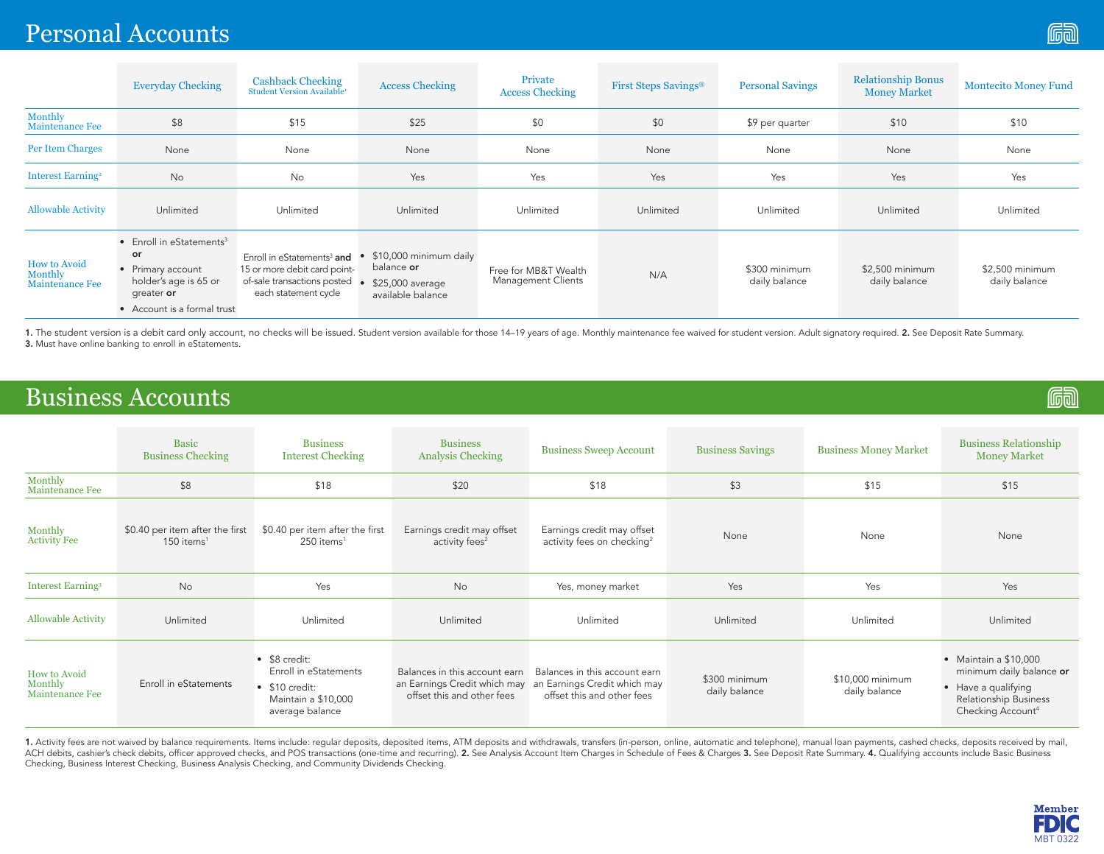# Personal Accounts

|                                            | <b>Everyday Checking</b>                                                                                                          | <b>Cashback Checking</b><br>Student Version Available <sup>1</sup>                                                            | <b>Access Checking</b>                                                        | Private<br><b>Access Checking</b>          | First Steps Savings <sup>®</sup> | <b>Personal Savings</b>        | <b>Relationship Bonus</b><br><b>Money Market</b> | <b>Montecito Money Fund</b>      |
|--------------------------------------------|-----------------------------------------------------------------------------------------------------------------------------------|-------------------------------------------------------------------------------------------------------------------------------|-------------------------------------------------------------------------------|--------------------------------------------|----------------------------------|--------------------------------|--------------------------------------------------|----------------------------------|
| Monthly<br><b>Maintenance Fee</b>          | \$8                                                                                                                               | \$15                                                                                                                          | \$25                                                                          | \$0                                        | \$0                              | \$9 per quarter                | \$10                                             | \$10                             |
| <b>Per Item Charges</b>                    | None                                                                                                                              | None                                                                                                                          | None                                                                          | None                                       | None                             | None                           | None                                             | None                             |
| <b>Interest Earning<sup>2</sup></b>        | No                                                                                                                                | No                                                                                                                            | Yes                                                                           | Yes                                        | Yes                              | Yes                            | Yes                                              | Yes                              |
| <b>Allowable Activity</b>                  | Unlimited                                                                                                                         | Unlimited                                                                                                                     | Unlimited                                                                     | Unlimited                                  | Unlimited                        | Unlimited                      | Unlimited                                        | Unlimited                        |
| How to Avoid<br>Monthly<br>Maintenance Fee | Enroll in eStatements <sup>3</sup><br>or<br>Primary account<br>holder's age is 65 or<br>greater or<br>• Account is a formal trust | Enroll in eStatements <sup>3</sup> and<br>15 or more debit card point-<br>of-sale transactions posted<br>each statement cycle | \$10,000 minimum daily<br>balance or<br>\$25,000 average<br>available balance | Free for MB&T Wealth<br>Management Clients | N/A                              | \$300 minimum<br>daily balance | \$2,500 minimum<br>daily balance                 | \$2,500 minimum<br>daily balance |

1. The student version is a debit card only account, no checks will be issued. Student version available for those 14-19 years of age. Monthly maintenance fee waived for student version. Adult signatory required. 2. See De 3. Must have online banking to enroll in eStatements.

## Business Accounts

|                                            | <b>Basic</b><br><b>Business Checking</b>                    | <b>Business</b><br><b>Interest Checking</b>                                                                        | <b>Business</b><br><b>Analysis Checking</b>                                                 | <b>Business Sweep Account</b>                                                               | <b>Business Savings</b>        | <b>Business Money Market</b>      | <b>Business Relationship</b><br><b>Money Market</b>                                                                            |
|--------------------------------------------|-------------------------------------------------------------|--------------------------------------------------------------------------------------------------------------------|---------------------------------------------------------------------------------------------|---------------------------------------------------------------------------------------------|--------------------------------|-----------------------------------|--------------------------------------------------------------------------------------------------------------------------------|
| Monthly<br>Maintenance Fee                 | \$8                                                         | \$18                                                                                                               | \$20                                                                                        | \$18                                                                                        | \$3                            | \$15                              | \$15                                                                                                                           |
| Monthly<br>Activity Fee                    | \$0.40 per item after the first<br>$150$ items <sup>1</sup> | \$0.40 per item after the first<br>250 items <sup>1</sup>                                                          | Earnings credit may offset<br>activity fees <sup>2</sup>                                    | Earnings credit may offset<br>activity fees on checking <sup>2</sup>                        | None                           | None                              | None                                                                                                                           |
| <b>Interest Earning</b> <sup>3</sup>       | No                                                          | Yes                                                                                                                | No                                                                                          | Yes, money market                                                                           | Yes                            | Yes                               | Yes                                                                                                                            |
| <b>Allowable Activity</b>                  | Unlimited                                                   | Unlimited                                                                                                          | Unlimited                                                                                   | Unlimited                                                                                   | Unlimited                      | Unlimited                         | Unlimited                                                                                                                      |
| How to Avoid<br>Monthly<br>Maintenance Fee | Enroll in eStatements                                       | $\bullet$ \$8 credit:<br>Enroll in eStatements<br>$\bullet$ \$10 credit:<br>Maintain a \$10,000<br>average balance | Balances in this account earn<br>an Earnings Credit which may<br>offset this and other fees | Balances in this account earn<br>an Earnings Credit which may<br>offset this and other fees | \$300 minimum<br>daily balance | \$10,000 minimum<br>daily balance | Maintain a \$10,000<br>minimum daily balance or<br>Have a qualifying<br>Relationship Business<br>Checking Account <sup>4</sup> |

1. Activity fees are not waived by balance requirements. Items include: regular deposits, deposited items, ATM deposits and withdrawals, transfers (in-person, online, automatic and telephone), manual loan payments, cashed ACH debits, cashier's check debits, officer approved checks, and POS transactions (one-time and recurring). 2. See Analysis Account Item Charges in Schedule of Fees & Charges 3. See Deposit Rate Summary. 4. Qualifying acco Checking, Business Interest Checking, Business Analysis Checking, and Community Dividends Checking.



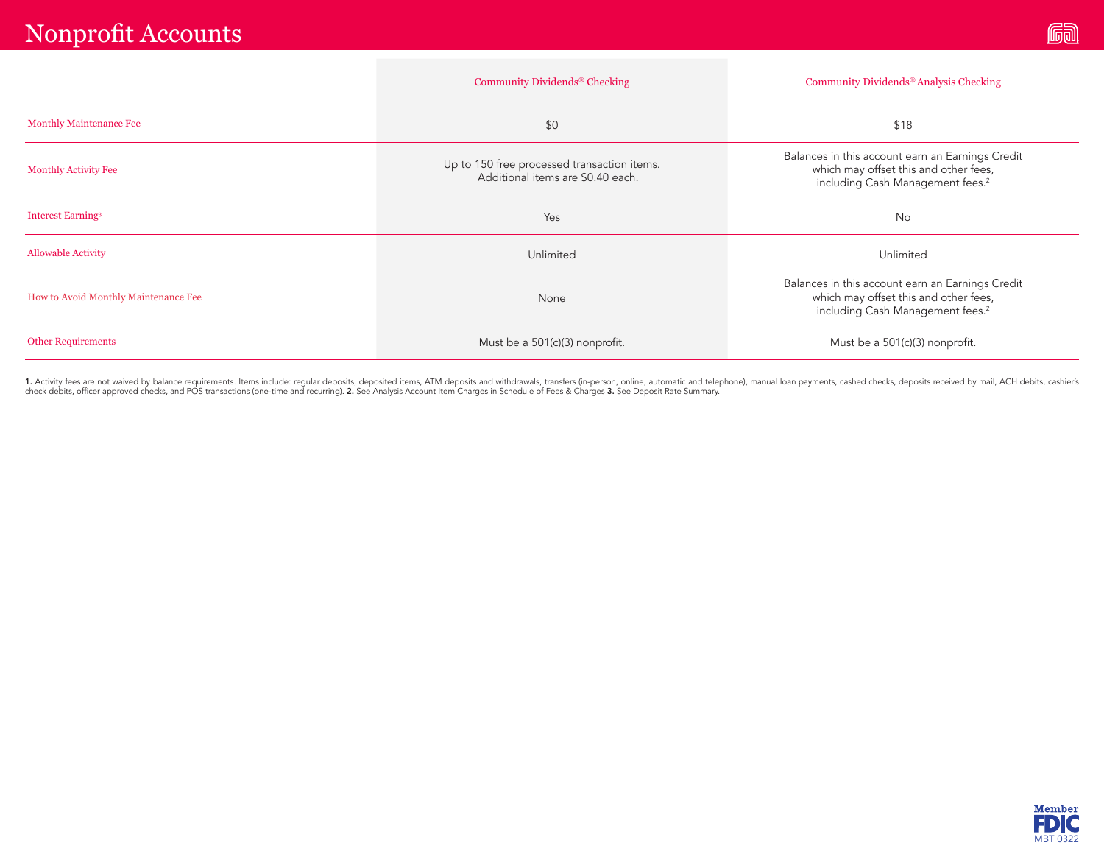|                                      | Community Dividends <sup>®</sup> Checking                                        | Community Dividends <sup>®</sup> Analysis Checking                                                                                        |  |  |
|--------------------------------------|----------------------------------------------------------------------------------|-------------------------------------------------------------------------------------------------------------------------------------------|--|--|
| <b>Monthly Maintenance Fee</b>       | \$0                                                                              | \$18                                                                                                                                      |  |  |
| <b>Monthly Activity Fee</b>          | Up to 150 free processed transaction items.<br>Additional items are \$0.40 each. | Balances in this account earn an Earnings Credit<br>which may offset this and other fees,<br>including Cash Management fees. <sup>2</sup> |  |  |
| <b>Interest Earning<sup>3</sup></b>  | Yes                                                                              | <b>No</b>                                                                                                                                 |  |  |
| <b>Allowable Activity</b>            | Unlimited                                                                        | Unlimited                                                                                                                                 |  |  |
| How to Avoid Monthly Maintenance Fee | None                                                                             | Balances in this account earn an Earnings Credit<br>which may offset this and other fees,<br>including Cash Management fees. <sup>2</sup> |  |  |
| <b>Other Requirements</b>            | Must be a 501(c)(3) nonprofit.                                                   | Must be a 501(c)(3) nonprofit.                                                                                                            |  |  |

1. Activity fees are not waived by balance requirements. Items include: regular deposits, deposited items, ATM deposits and withdrawals, transfers (in-person, online, automatic and telephone), manual loan payments, cashed